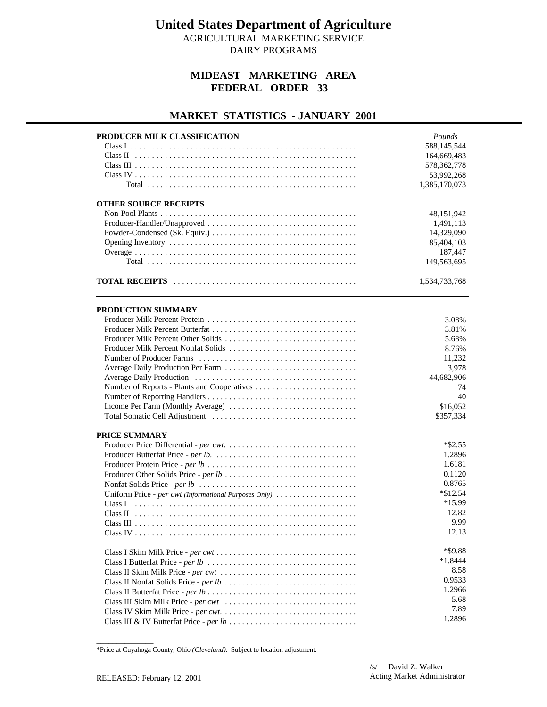AGRICULTURAL MARKETING SERVICE

DAIRY PROGRAMS

### **MIDEAST MARKETING AREA FEDERAL ORDER 33**

### **MARKET STATISTICS - JANUARY 2001**

| PRODUCER MILK CLASSIFICATION                          | Pounds           |
|-------------------------------------------------------|------------------|
|                                                       | 588,145,544      |
|                                                       | 164,669,483      |
|                                                       | 578, 362, 778    |
|                                                       | 53,992,268       |
|                                                       | 1,385,170,073    |
| <b>OTHER SOURCE RECEIPTS</b>                          |                  |
|                                                       | 48, 151, 942     |
|                                                       | 1,491,113        |
|                                                       | 14,329,090       |
|                                                       | 85,404,103       |
|                                                       | 187,447          |
|                                                       | 149,563,695      |
|                                                       | 1,534,733,768    |
| PRODUCTION SUMMARY                                    |                  |
|                                                       | 3.08%            |
|                                                       | 3.81%            |
| Producer Milk Percent Other Solids                    | 5.68%            |
| Producer Milk Percent Nonfat Solids                   | 8.76%            |
|                                                       | 11,232           |
| Average Daily Production Per Farm                     | 3,978            |
|                                                       | 44,682,906       |
|                                                       | 74               |
|                                                       | 40               |
|                                                       | \$16,052         |
|                                                       | \$357,334        |
| PRICE SUMMARY                                         |                  |
|                                                       | $*$ \$2.55       |
|                                                       | 1.2896           |
|                                                       | 1.6181           |
|                                                       | 0.1120           |
|                                                       | 0.8765           |
| Uniform Price - per cwt (Informational Purposes Only) | $*$ \$12.54      |
|                                                       | *15.99           |
|                                                       | 12.82            |
|                                                       | 9.99             |
|                                                       | 12.13            |
|                                                       | *\$9.88          |
|                                                       | $*1.8444$        |
|                                                       | 8.58             |
|                                                       |                  |
|                                                       |                  |
|                                                       | 0.9533<br>1.2966 |
|                                                       | 5.68             |
|                                                       | 7.89             |

<sup>\*</sup>Price at Cuyahoga County, Ohio *(Cleveland)*. Subject to location adjustment.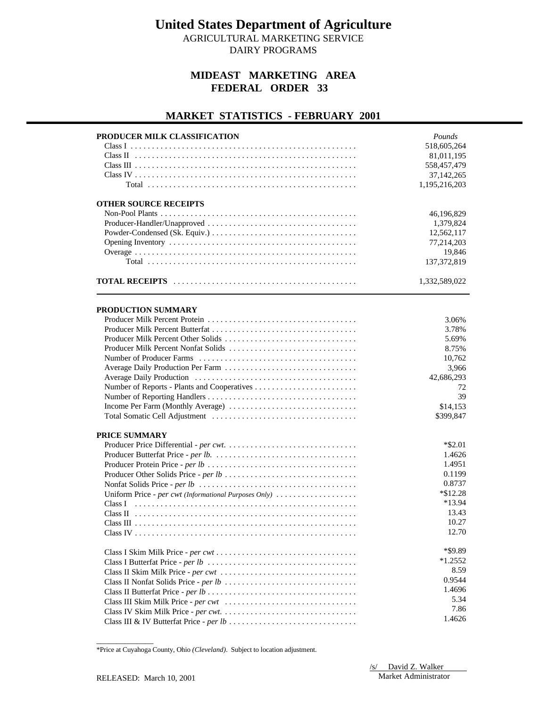AGRICULTURAL MARKETING SERVICE DAIRY PROGRAMS

## **MIDEAST MARKETING AREA FEDERAL ORDER 33**

### **MARKET STATISTICS - FEBRUARY 2001**

| 518,605,264<br>81,011,195<br>558,457,479<br>37,142,265<br>1,195,216,203<br><b>OTHER SOURCE RECEIPTS</b><br>46,196,829<br>1,379,824<br>12,562,117<br>77,214,203<br>19,846<br>137, 372, 819<br>1,332,589,022<br>PRODUCTION SUMMARY<br>3.06%<br>3.78%<br>5.69%<br>Producer Milk Percent Nonfat Solids<br>8.75%<br>10,762<br>3,966<br>42,686,293<br>72<br>39<br>\$14,153<br>Income Per Farm (Monthly Average)<br>\$399,847<br>PRICE SUMMARY<br>$*$ \$2.01<br>1.4626<br>1.4951<br>0.1199<br>0.8737<br>$*$ \$12.28<br>Uniform Price - per cwt (Informational Purposes Only)<br>*13.94<br>13.43<br>10.27<br>12.70<br>*\$9.89<br>$*1.2552$<br>8.59<br>0.9544<br>1.4696<br>5.34<br>7.86 | PRODUCER MILK CLASSIFICATION | Pounds |
|--------------------------------------------------------------------------------------------------------------------------------------------------------------------------------------------------------------------------------------------------------------------------------------------------------------------------------------------------------------------------------------------------------------------------------------------------------------------------------------------------------------------------------------------------------------------------------------------------------------------------------------------------------------------------------|------------------------------|--------|
|                                                                                                                                                                                                                                                                                                                                                                                                                                                                                                                                                                                                                                                                                |                              |        |
|                                                                                                                                                                                                                                                                                                                                                                                                                                                                                                                                                                                                                                                                                |                              |        |
|                                                                                                                                                                                                                                                                                                                                                                                                                                                                                                                                                                                                                                                                                |                              |        |
|                                                                                                                                                                                                                                                                                                                                                                                                                                                                                                                                                                                                                                                                                |                              |        |
|                                                                                                                                                                                                                                                                                                                                                                                                                                                                                                                                                                                                                                                                                |                              |        |
|                                                                                                                                                                                                                                                                                                                                                                                                                                                                                                                                                                                                                                                                                |                              |        |
|                                                                                                                                                                                                                                                                                                                                                                                                                                                                                                                                                                                                                                                                                |                              |        |
|                                                                                                                                                                                                                                                                                                                                                                                                                                                                                                                                                                                                                                                                                |                              |        |
|                                                                                                                                                                                                                                                                                                                                                                                                                                                                                                                                                                                                                                                                                |                              |        |
|                                                                                                                                                                                                                                                                                                                                                                                                                                                                                                                                                                                                                                                                                |                              |        |
|                                                                                                                                                                                                                                                                                                                                                                                                                                                                                                                                                                                                                                                                                |                              |        |
|                                                                                                                                                                                                                                                                                                                                                                                                                                                                                                                                                                                                                                                                                |                              |        |
|                                                                                                                                                                                                                                                                                                                                                                                                                                                                                                                                                                                                                                                                                |                              |        |
|                                                                                                                                                                                                                                                                                                                                                                                                                                                                                                                                                                                                                                                                                |                              |        |
|                                                                                                                                                                                                                                                                                                                                                                                                                                                                                                                                                                                                                                                                                |                              |        |
|                                                                                                                                                                                                                                                                                                                                                                                                                                                                                                                                                                                                                                                                                |                              |        |
|                                                                                                                                                                                                                                                                                                                                                                                                                                                                                                                                                                                                                                                                                |                              |        |
|                                                                                                                                                                                                                                                                                                                                                                                                                                                                                                                                                                                                                                                                                |                              |        |
|                                                                                                                                                                                                                                                                                                                                                                                                                                                                                                                                                                                                                                                                                |                              |        |
|                                                                                                                                                                                                                                                                                                                                                                                                                                                                                                                                                                                                                                                                                |                              |        |
|                                                                                                                                                                                                                                                                                                                                                                                                                                                                                                                                                                                                                                                                                |                              |        |
|                                                                                                                                                                                                                                                                                                                                                                                                                                                                                                                                                                                                                                                                                |                              |        |
|                                                                                                                                                                                                                                                                                                                                                                                                                                                                                                                                                                                                                                                                                |                              |        |
|                                                                                                                                                                                                                                                                                                                                                                                                                                                                                                                                                                                                                                                                                |                              |        |
|                                                                                                                                                                                                                                                                                                                                                                                                                                                                                                                                                                                                                                                                                |                              |        |
|                                                                                                                                                                                                                                                                                                                                                                                                                                                                                                                                                                                                                                                                                |                              |        |
|                                                                                                                                                                                                                                                                                                                                                                                                                                                                                                                                                                                                                                                                                |                              |        |
|                                                                                                                                                                                                                                                                                                                                                                                                                                                                                                                                                                                                                                                                                |                              |        |
|                                                                                                                                                                                                                                                                                                                                                                                                                                                                                                                                                                                                                                                                                |                              |        |
|                                                                                                                                                                                                                                                                                                                                                                                                                                                                                                                                                                                                                                                                                |                              |        |
|                                                                                                                                                                                                                                                                                                                                                                                                                                                                                                                                                                                                                                                                                |                              |        |
|                                                                                                                                                                                                                                                                                                                                                                                                                                                                                                                                                                                                                                                                                |                              |        |
|                                                                                                                                                                                                                                                                                                                                                                                                                                                                                                                                                                                                                                                                                |                              |        |
|                                                                                                                                                                                                                                                                                                                                                                                                                                                                                                                                                                                                                                                                                |                              |        |
|                                                                                                                                                                                                                                                                                                                                                                                                                                                                                                                                                                                                                                                                                |                              |        |
|                                                                                                                                                                                                                                                                                                                                                                                                                                                                                                                                                                                                                                                                                |                              |        |
|                                                                                                                                                                                                                                                                                                                                                                                                                                                                                                                                                                                                                                                                                |                              |        |
|                                                                                                                                                                                                                                                                                                                                                                                                                                                                                                                                                                                                                                                                                |                              |        |
|                                                                                                                                                                                                                                                                                                                                                                                                                                                                                                                                                                                                                                                                                |                              |        |
|                                                                                                                                                                                                                                                                                                                                                                                                                                                                                                                                                                                                                                                                                |                              |        |
|                                                                                                                                                                                                                                                                                                                                                                                                                                                                                                                                                                                                                                                                                |                              |        |
|                                                                                                                                                                                                                                                                                                                                                                                                                                                                                                                                                                                                                                                                                |                              |        |
|                                                                                                                                                                                                                                                                                                                                                                                                                                                                                                                                                                                                                                                                                |                              |        |
|                                                                                                                                                                                                                                                                                                                                                                                                                                                                                                                                                                                                                                                                                |                              | 1.4626 |

<sup>\*</sup>Price at Cuyahoga County, Ohio *(Cleveland)*. Subject to location adjustment.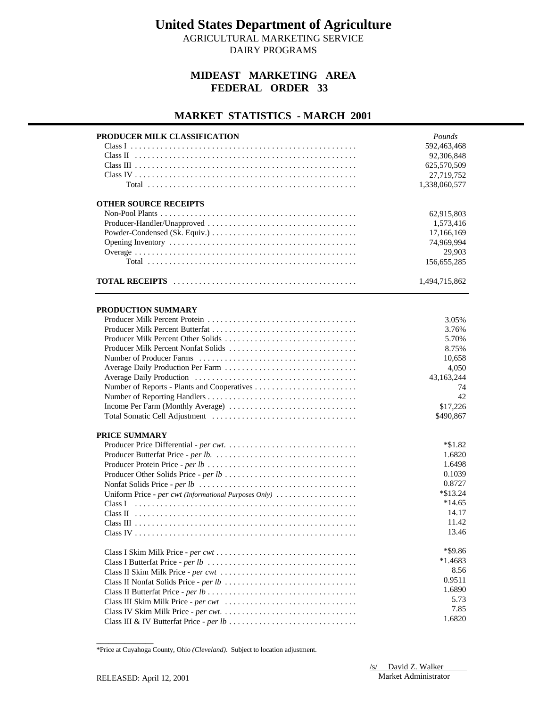AGRICULTURAL MARKETING SERVICE DAIRY PROGRAMS

### **MIDEAST MARKETING AREA FEDERAL ORDER 33**

### **MARKET STATISTICS - MARCH 2001**

| PRODUCER MILK CLASSIFICATION                          | Pounds        |
|-------------------------------------------------------|---------------|
|                                                       | 592,463,468   |
|                                                       | 92,306,848    |
|                                                       | 625,570,509   |
|                                                       | 27,719,752    |
|                                                       |               |
|                                                       | 1,338,060,577 |
| <b>OTHER SOURCE RECEIPTS</b>                          |               |
|                                                       | 62,915,803    |
|                                                       | 1,573,416     |
|                                                       | 17,166,169    |
|                                                       | 74,969,994    |
|                                                       | 29,903        |
|                                                       | 156,655,285   |
|                                                       |               |
|                                                       | 1,494,715,862 |
|                                                       |               |
| PRODUCTION SUMMARY                                    |               |
|                                                       | 3.05%         |
|                                                       | 3.76%         |
| Producer Milk Percent Other Solids                    | 5.70%         |
| Producer Milk Percent Nonfat Solids                   | 8.75%         |
|                                                       | 10,658        |
|                                                       | 4,050         |
|                                                       | 43,163,244    |
|                                                       | 74            |
|                                                       | 42            |
| Income Per Farm (Monthly Average)                     | \$17,226      |
|                                                       | \$490,867     |
| PRICE SUMMARY                                         |               |
|                                                       | $*\$1.82$     |
|                                                       | 1.6820        |
|                                                       | 1.6498        |
|                                                       | 0.1039        |
|                                                       | 0.8727        |
| Uniform Price - per cwt (Informational Purposes Only) | *\$13.24      |
|                                                       | $*14.65$      |
|                                                       | 14.17         |
|                                                       | 11.42         |
|                                                       | 13.46         |
|                                                       | *\$9.86       |
|                                                       | $*1.4683$     |
|                                                       | 8.56          |
|                                                       | 0.9511        |
|                                                       | 1.6890        |
|                                                       | 5.73          |
|                                                       |               |
|                                                       | 7.85          |
|                                                       | 1.6820        |

<sup>\*</sup>Price at Cuyahoga County, Ohio *(Cleveland)*. Subject to location adjustment.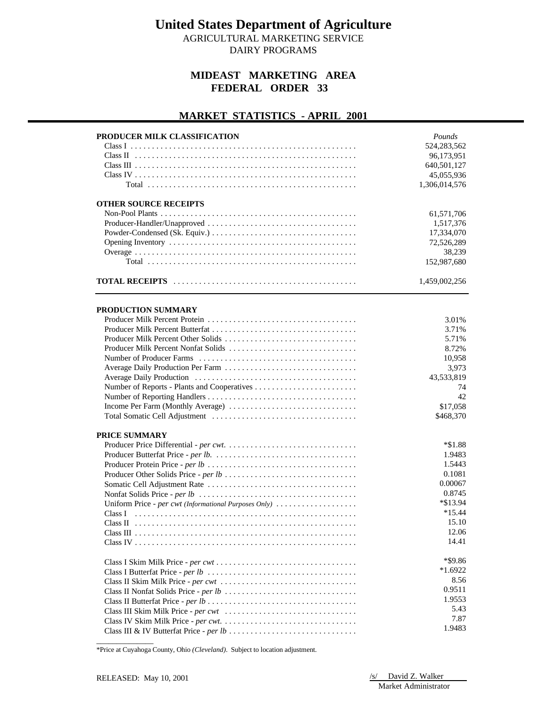AGRICULTURAL MARKETING SERVICE

DAIRY PROGRAMS

### **MIDEAST MARKETING AREA FEDERAL ORDER 33**

### **MARKET STATISTICS - APRIL 2001**

| PRODUCER MILK CLASSIFICATION                          | Pounds        |
|-------------------------------------------------------|---------------|
|                                                       | 524, 283, 562 |
|                                                       | 96,173,951    |
|                                                       | 640,501,127   |
|                                                       | 45,055,936    |
|                                                       | 1,306,014,576 |
|                                                       |               |
| <b>OTHER SOURCE RECEIPTS</b>                          |               |
|                                                       | 61,571,706    |
|                                                       | 1,517,376     |
|                                                       | 17,334,070    |
|                                                       | 72,526,289    |
|                                                       | 38,239        |
|                                                       | 152,987,680   |
|                                                       | 1,459,002,256 |
| PRODUCTION SUMMARY                                    |               |
|                                                       | 3.01%         |
|                                                       | 3.71%         |
|                                                       | 5.71%         |
|                                                       | 8.72%         |
|                                                       | 10,958        |
| Average Daily Production Per Farm                     | 3,973         |
|                                                       | 43,533,819    |
|                                                       | 74            |
|                                                       | 42            |
| Income Per Farm (Monthly Average)                     | \$17,058      |
|                                                       | \$468,370     |
| <b>PRICE SUMMARY</b>                                  |               |
|                                                       | *\$1.88       |
|                                                       | 1.9483        |
|                                                       | 1.5443        |
|                                                       | 0.1081        |
|                                                       | 0.00067       |
|                                                       | 0.8745        |
| Uniform Price - per cwt (Informational Purposes Only) | *\$13.94      |
|                                                       | $*15.44$      |
|                                                       | 15.10         |
|                                                       | 12.06         |
|                                                       | 14.41         |
|                                                       | *\$9.86       |
|                                                       |               |
|                                                       | $*1.6922$     |
|                                                       | 8.56          |
|                                                       | 0.9511        |
|                                                       | 1.9553        |
|                                                       | 5.43          |
|                                                       | 7.87          |
|                                                       | 1.9483        |

\*Price at Cuyahoga County, Ohio *(Cleveland)*. Subject to location adjustment.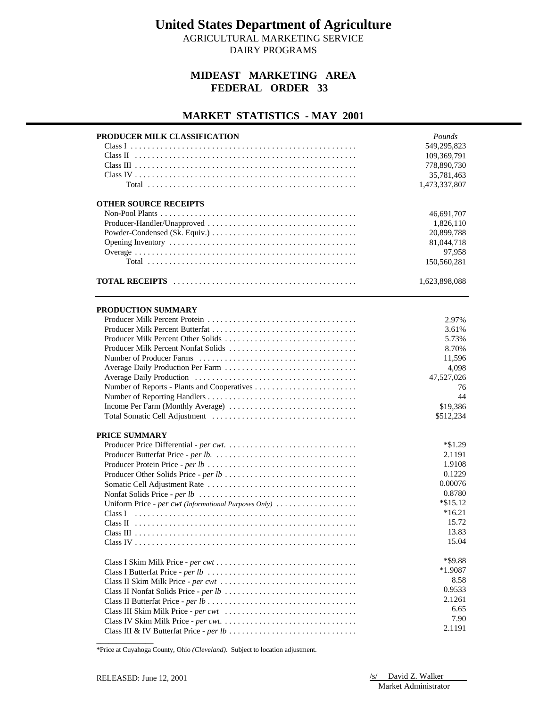AGRICULTURAL MARKETING SERVICE DAIRY PROGRAMS

### **MIDEAST MARKETING AREA FEDERAL ORDER 33**

### **MARKET STATISTICS - MAY 2001**

| PRODUCER MILK CLASSIFICATION                          | Pounds        |
|-------------------------------------------------------|---------------|
|                                                       | 549,295,823   |
|                                                       | 109,369,791   |
|                                                       | 778,890,730   |
|                                                       | 35,781,463    |
|                                                       | 1,473,337,807 |
|                                                       |               |
| <b>OTHER SOURCE RECEIPTS</b>                          |               |
|                                                       | 46,691,707    |
|                                                       | 1,826,110     |
|                                                       | 20,899,788    |
|                                                       | 81,044,718    |
|                                                       | 97,958        |
|                                                       | 150,560,281   |
|                                                       | 1,623,898,088 |
| <b>PRODUCTION SUMMARY</b>                             |               |
|                                                       | 2.97%         |
|                                                       | 3.61%         |
|                                                       | 5.73%         |
| Producer Milk Percent Nonfat Solids                   | 8.70%         |
|                                                       | 11,596        |
|                                                       | 4,098         |
|                                                       | 47,527,026    |
|                                                       | 76            |
|                                                       | 44            |
| Income Per Farm (Monthly Average)                     | \$19,386      |
|                                                       | \$512,234     |
|                                                       |               |
| <b>PRICE SUMMARY</b>                                  |               |
|                                                       | $*\$1.29$     |
|                                                       | 2.1191        |
|                                                       | 1.9108        |
|                                                       | 0.1229        |
|                                                       | 0.00076       |
|                                                       | 0.8780        |
| Uniform Price - per cwt (Informational Purposes Only) | $*\$15.12$    |
|                                                       | $*16.21$      |
|                                                       | 15.72         |
|                                                       | 13.83         |
|                                                       | 15.04         |
|                                                       | *\$9.88       |
|                                                       | $*1.9087$     |
|                                                       | 8.58          |
|                                                       | 0.9533        |
|                                                       | 2.1261        |
|                                                       | 6.65          |
|                                                       | 7.90          |
|                                                       |               |
|                                                       | 2.1191        |

\*Price at Cuyahoga County, Ohio *(Cleveland)*. Subject to location adjustment.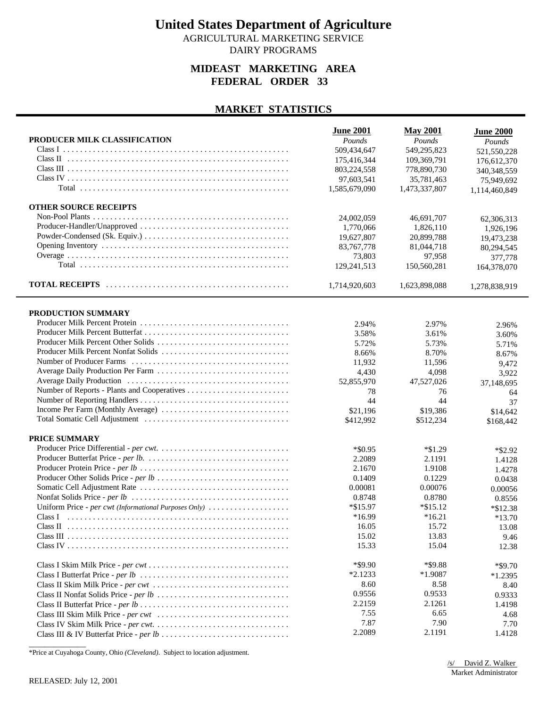AGRICULTURAL MARKETING SERVICE DAIRY PROGRAMS

### **MIDEAST MARKETING AREA FEDERAL ORDER 33**

#### **MARKET STATISTICS**

|                                                       | <b>June 2001</b> | <b>May 2001</b> | <b>June 2000</b> |
|-------------------------------------------------------|------------------|-----------------|------------------|
| PRODUCER MILK CLASSIFICATION                          | Pounds           | Pounds          | Pounds           |
|                                                       | 509,434,647      | 549,295,823     | 521,550,228      |
|                                                       | 175,416,344      | 109,369,791     | 176,612,370      |
|                                                       | 803,224,558      | 778,890,730     | 340,348,559      |
|                                                       | 97,603,541       | 35,781,463      | 75,949,692       |
|                                                       | 1.585.679.090    | 1,473,337,807   | 1,114,460,849    |
| <b>OTHER SOURCE RECEIPTS</b>                          |                  |                 |                  |
|                                                       | 24,002,059       | 46,691,707      | 62,306,313       |
|                                                       | 1,770,066        | 1,826,110       | 1,926,196        |
|                                                       | 19,627,807       | 20,899,788      | 19,473,238       |
|                                                       | 83,767,778       | 81,044,718      | 80,294,545       |
|                                                       | 73,803           | 97,958          | 377,778          |
|                                                       | 129,241,513      | 150,560,281     | 164,378,070      |
|                                                       | 1,714,920,603    | 1,623,898,088   | 1,278,838,919    |
| PRODUCTION SUMMARY                                    |                  |                 |                  |
|                                                       |                  |                 |                  |
|                                                       | 2.94%            | 2.97%           | 2.96%            |
| Producer Milk Percent Other Solids                    | 3.58%            | 3.61%           | 3.60%            |
| Producer Milk Percent Nonfat Solids                   | 5.72%            | 5.73%           | 5.71%            |
|                                                       | 8.66%            | 8.70%           | 8.67%            |
|                                                       | 11,932           | 11,596          | 9,472            |
|                                                       | 4,430            | 4,098           | 3,922            |
|                                                       | 52,855,970       | 47,527,026      | 37,148,695       |
|                                                       | 78<br>44         | 76<br>44        | 64               |
| Income Per Farm (Monthly Average)                     | \$21,196         |                 | 37               |
|                                                       | \$412,992        | \$19,386        | \$14,642         |
|                                                       |                  | \$512,234       | \$168,442        |
| PRICE SUMMARY                                         |                  |                 |                  |
|                                                       | $*$ \$0.95       | $*\$1.29$       | $*$ \$2.92       |
|                                                       | 2.2089           | 2.1191          | 1.4128           |
|                                                       | 2.1670           | 1.9108          | 1.4278           |
|                                                       | 0.1409           | 0.1229          | 0.0438           |
|                                                       | 0.00081          | 0.00076         | 0.00056          |
|                                                       | 0.8748           | 0.8780          | 0.8556           |
| Uniform Price - per cwt (Informational Purposes Only) | $*\$15.97$       | $*\$15.12$      | $*$ \$12.38      |
|                                                       | *16.99           | $*16.21$        | $*13.70$         |
|                                                       | 16.05            | 15.72           | 13.08            |
|                                                       | 15.02            | 13.83           | 9.46             |
|                                                       | 15.33            | 15.04           | 12.38            |
|                                                       | $*$ \$9.90       | *\$9.88         | *\$9.70          |
|                                                       | $*2.1233$        | $*1.9087$       | $*1.2395$        |
|                                                       | 8.60             | 8.58            | 8.40             |
|                                                       | 0.9556           | 0.9533          | 0.9333           |
|                                                       | 2.2159           | 2.1261          | 1.4198           |
|                                                       | 7.55             | 6.65            | 4.68             |
|                                                       | 7.87             | 7.90            | 7.70             |
|                                                       | 2.2089           | 2.1191          | 1.4128           |

\*Price at Cuyahoga County, Ohio *(Cleveland)*. Subject to location adjustment.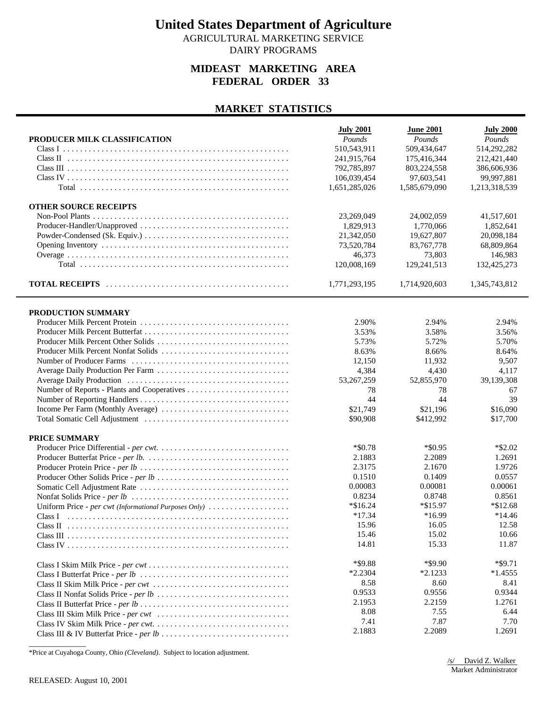AGRICULTURAL MARKETING SERVICE DAIRY PROGRAMS

### **MIDEAST MARKETING AREA FEDERAL ORDER 33**

#### **MARKET STATISTICS**

|                                                       | <b>July 2001</b> | <b>June 2001</b> | <b>July 2000</b> |
|-------------------------------------------------------|------------------|------------------|------------------|
| PRODUCER MILK CLASSIFICATION                          | Pounds           | Pounds           | Pounds           |
|                                                       | 510,543,911      | 509,434,647      | 514,292,282      |
|                                                       | 241,915,764      | 175,416,344      | 212,421,440      |
|                                                       | 792,785,897      | 803,224,558      | 386,606,936      |
|                                                       | 106,039,454      | 97,603,541       | 99,997,881       |
|                                                       | 1,651,285,026    | 1,585,679,090    | 1,213,318,539    |
| <b>OTHER SOURCE RECEIPTS</b>                          |                  |                  |                  |
|                                                       | 23,269,049       | 24,002,059       | 41,517,601       |
|                                                       | 1,829,913        | 1,770,066        | 1,852,641        |
|                                                       | 21,342,050       | 19,627,807       | 20,098,184       |
|                                                       | 73,520,784       | 83,767,778       | 68,809,864       |
|                                                       | 46,373           | 73,803           | 146,983          |
|                                                       | 120,008,169      | 129,241,513      | 132,425,273      |
|                                                       | 1,771,293,195    | 1,714,920,603    | 1,345,743,812    |
| PRODUCTION SUMMARY                                    |                  |                  |                  |
|                                                       | 2.90%            | 2.94%            | 2.94%            |
|                                                       | 3.53%            | 3.58%            | 3.56%            |
|                                                       | 5.73%            | 5.72%            | 5.70%            |
| Producer Milk Percent Nonfat Solids                   | 8.63%            | 8.66%            | 8.64%            |
|                                                       | 12,150           | 11,932           | 9,507            |
| Average Daily Production Per Farm                     | 4,384            | 4,430            | 4,117            |
|                                                       | 53,267,259       | 52,855,970       | 39,139,308       |
|                                                       | 78               | 78               | 67               |
|                                                       | 44               | 44               | 39               |
| Income Per Farm (Monthly Average)                     | \$21,749         | \$21,196         | \$16,090         |
|                                                       | \$90,908         | \$412,992        | \$17,700         |
|                                                       |                  |                  |                  |
| PRICE SUMMARY                                         |                  |                  |                  |
|                                                       | $*$ \$0.78       | $*$ \$0.95       | $*$ \$2.02       |
|                                                       | 2.1883           | 2.2089           | 1.2691           |
|                                                       | 2.3175           | 2.1670           | 1.9726           |
|                                                       | 0.1510           | 0.1409           | 0.0557           |
|                                                       | 0.00083          | 0.00081          | 0.00061          |
|                                                       | 0.8234           | 0.8748           | 0.8561           |
| Uniform Price - per cwt (Informational Purposes Only) | $*\$16.24$       | $*\$15.97$       | $*\$12.68$       |
| Class I                                               | $*17.34$         | *16.99           | $*14.46$         |
|                                                       | 15.96            | 16.05            | 12.58            |
|                                                       | 15.46            | 15.02            | 10.66            |
|                                                       | 14.81            | 15.33            | 11.87            |
|                                                       | *\$9.88          | *\$9.90          | $*$ \$9.71       |
|                                                       | $*2.2304$        | $*2.1233$        | $*1.4555$        |
|                                                       | 8.58             | 8.60             | 8.41             |
|                                                       | 0.9533           | 0.9556           | 0.9344           |
|                                                       | 2.1953           | 2.2159           | 1.2761           |
|                                                       | 8.08             | 7.55             | 6.44             |
|                                                       | 7.41             | 7.87             | 7.70             |
|                                                       | 2.1883           | 2.2089           | 1.2691           |

\*Price at Cuyahoga County, Ohio *(Cleveland)*. Subject to location adjustment.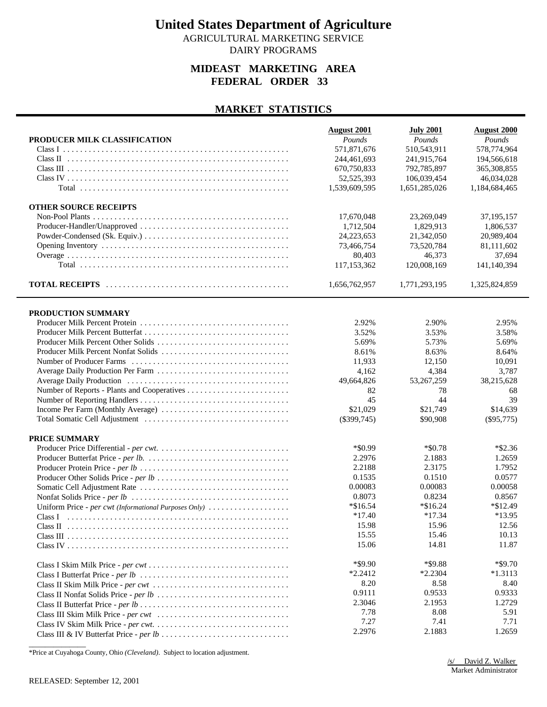AGRICULTURAL MARKETING SERVICE DAIRY PROGRAMS

### **MIDEAST MARKETING AREA FEDERAL ORDER 33**

#### **MARKET STATISTICS**

| PRODUCER MILK CLASSIFICATION                          | <b>August 2001</b><br>Pounds | <b>July 2001</b><br>Pounds | <b>August 2000</b><br>Pounds |
|-------------------------------------------------------|------------------------------|----------------------------|------------------------------|
|                                                       | 571,871,676                  | 510,543,911                | 578,774,964                  |
|                                                       | 244,461,693                  | 241,915,764                | 194,566,618                  |
|                                                       | 670,750,833                  | 792,785,897                | 365, 308, 855                |
|                                                       | 52,525,393                   | 106,039,454                | 46,034,028                   |
|                                                       | 1,539,609,595                | 1,651,285,026              | 1,184,684,465                |
|                                                       |                              |                            |                              |
| <b>OTHER SOURCE RECEIPTS</b>                          |                              |                            |                              |
|                                                       | 17,670,048                   | 23,269,049                 | 37,195,157                   |
|                                                       | 1,712,504                    | 1,829,913                  | 1,806,537                    |
|                                                       | 24,223,653                   | 21,342,050                 | 20.989.404                   |
|                                                       | 73,466,754                   | 73,520,784                 | 81,111,602                   |
|                                                       | 80,403                       | 46,373                     | 37,694                       |
|                                                       | 117,153,362                  | 120,008,169                | 141,140,394                  |
|                                                       | 1,656,762,957                | 1,771,293,195              | 1,325,824,859                |
|                                                       |                              |                            |                              |
| PRODUCTION SUMMARY                                    | 2.92%                        | 2.90%                      | 2.95%                        |
|                                                       | 3.52%                        | 3.53%                      | 3.58%                        |
| Producer Milk Percent Other Solids                    | 5.69%                        | 5.73%                      | 5.69%                        |
| Producer Milk Percent Nonfat Solids                   | 8.61%                        | 8.63%                      | 8.64%                        |
|                                                       |                              |                            | 10,091                       |
|                                                       | 11,933                       | 12,150                     |                              |
|                                                       | 4,162                        | 4,384                      | 3,787                        |
|                                                       | 49,664,826                   | 53,267,259                 | 38,215,628                   |
|                                                       | 82                           | 78                         | 68                           |
|                                                       | 45                           | 44                         | 39                           |
| Income Per Farm (Monthly Average)                     | \$21,029                     | \$21,749                   | \$14,639                     |
|                                                       | $(\$399,745)$                | \$90,908                   | $(\$95,775)$                 |
| PRICE SUMMARY                                         |                              |                            |                              |
|                                                       | *\$0.99                      | $*$ \$0.78                 | $*$ \$2.36                   |
|                                                       | 2.2976                       | 2.1883                     | 1.2659                       |
|                                                       | 2.2188                       | 2.3175                     | 1.7952                       |
|                                                       | 0.1535                       | 0.1510                     | 0.0577                       |
|                                                       | 0.00083                      | 0.00083                    | 0.00058                      |
|                                                       | 0.8073                       | 0.8234                     | 0.8567                       |
| Uniform Price - per cwt (Informational Purposes Only) | *\$16.54                     | $*\$16.24$                 | *\$12.49                     |
|                                                       | $*17.40$                     | $*17.34$                   | $*13.95$                     |
|                                                       | 15.98                        | 15.96                      | 12.56                        |
|                                                       | 15.55                        | 15.46                      | 10.13                        |
|                                                       | 15.06                        | 14.81                      | 11.87                        |
|                                                       |                              |                            |                              |
|                                                       | $*$ \$9.90                   | *\$9.88                    | $*$ \$9.70                   |
|                                                       | $*2.2412$                    | $*2.2304$                  | $*1.3113$                    |
|                                                       | 8.20                         | 8.58                       | 8.40                         |
|                                                       | 0.9111                       | 0.9533                     | 0.9333                       |
|                                                       | 2.3046                       | 2.1953                     | 1.2729                       |
|                                                       | 7.78                         | 8.08                       | 5.91                         |
|                                                       | 7.27                         | 7.41                       | 7.71                         |
|                                                       | 2.2976                       | 2.1883                     | 1.2659                       |

\*Price at Cuyahoga County, Ohio *(Cleveland)*. Subject to location adjustment.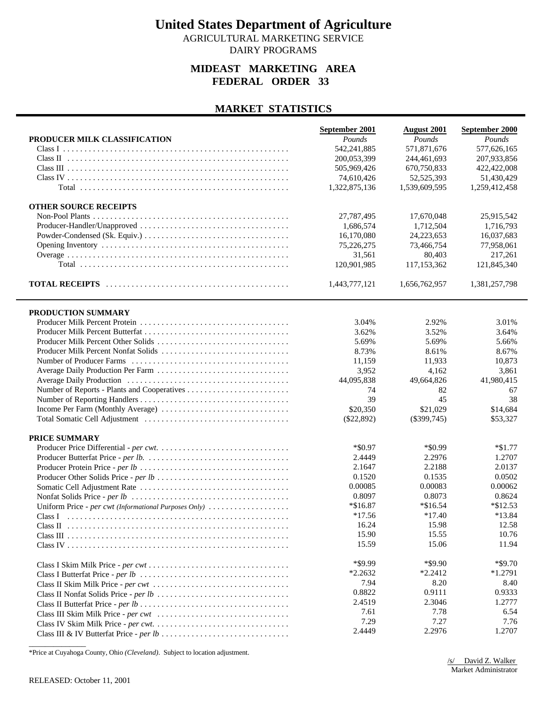AGRICULTURAL MARKETING SERVICE DAIRY PROGRAMS

#### **MIDEAST MARKETING AREA FEDERAL ORDER 33**

#### **MARKET STATISTICS**

|                                                       | September 2001 | <b>August 2001</b> | September 2000 |
|-------------------------------------------------------|----------------|--------------------|----------------|
| PRODUCER MILK CLASSIFICATION                          | Pounds         | Pounds             | Pounds         |
|                                                       | 542,241,885    | 571,871,676        | 577,626,165    |
|                                                       | 200,053,399    | 244,461,693        | 207,933,856    |
|                                                       | 505,969,426    | 670,750,833        | 422,422,008    |
|                                                       | 74,610,426     | 52,525,393         | 51,430,429     |
|                                                       | 1,322,875,136  | 1,539,609,595      | 1,259,412,458  |
| <b>OTHER SOURCE RECEIPTS</b>                          |                |                    |                |
|                                                       | 27,787,495     | 17,670,048         | 25,915,542     |
|                                                       | 1,686,574      | 1,712,504          | 1,716,793      |
|                                                       | 16,170,080     | 24,223,653         | 16,037,683     |
|                                                       | 75,226,275     | 73,466,754         | 77,958,061     |
|                                                       | 31,561         | 80.403             | 217,261        |
|                                                       | 120,901,985    | 117,153,362        | 121,845,340    |
|                                                       | 1,443,777,121  | 1,656,762,957      | 1,381,257,798  |
| PRODUCTION SUMMARY                                    |                |                    |                |
|                                                       | 3.04%          | 2.92%              | 3.01%          |
|                                                       | 3.62%          | 3.52%              | 3.64%          |
| Producer Milk Percent Other Solids                    | 5.69%          | 5.69%              | 5.66%          |
| Producer Milk Percent Nonfat Solids                   | 8.73%          | 8.61%              | 8.67%          |
|                                                       | 11,159         | 11,933             | 10,873         |
| Average Daily Production Per Farm                     | 3,952          | 4.162              | 3,861          |
|                                                       | 44,095,838     | 49,664,826         | 41,980,415     |
|                                                       | 74             | 82                 | 67             |
|                                                       | 39             | 45                 | 38             |
|                                                       | \$20,350       | \$21,029           | \$14,684       |
|                                                       | $(\$22,892)$   | $(\$399,745)$      | \$53,327       |
| PRICE SUMMARY                                         |                |                    |                |
|                                                       | *\$0.97        | $*$ \$0.99         | $*\$1.77$      |
|                                                       | 2.4449         | 2.2976             | 1.2707         |
|                                                       | 2.1647         | 2.2188             | 2.0137         |
|                                                       | 0.1520         | 0.1535             | 0.0502         |
|                                                       | 0.00085        | 0.00083            | 0.00062        |
|                                                       | 0.8097         | 0.8073             | 0.8624         |
| Uniform Price - per cwt (Informational Purposes Only) | $*\$16.87$     | $*\$16.54$         | $*\$12.53$     |
|                                                       | $*17.56$       | $*17.40$           | $*13.84$       |
|                                                       | 16.24          | 15.98              | 12.58          |
|                                                       | 15.90          | 15.55              | 10.76          |
|                                                       | 15.59          | 15.06              | 11.94          |
|                                                       | $*$ \$9.99     | $*$ \$9.90         | $*$ \$9.70     |
|                                                       | $*2.2632$      | $*2.2412$          | $*1.2791$      |
|                                                       | 7.94           | 8.20               | 8.40           |
|                                                       | 0.8822         | 0.9111             | 0.9333         |
|                                                       | 2.4519         | 2.3046             | 1.2777         |
|                                                       | 7.61           | 7.78               | 6.54           |
|                                                       | 7.29           | 7.27               | 7.76           |
|                                                       | 2.4449         | 2.2976             | 1.2707         |

\*Price at Cuyahoga County, Ohio *(Cleveland)*. Subject to location adjustment.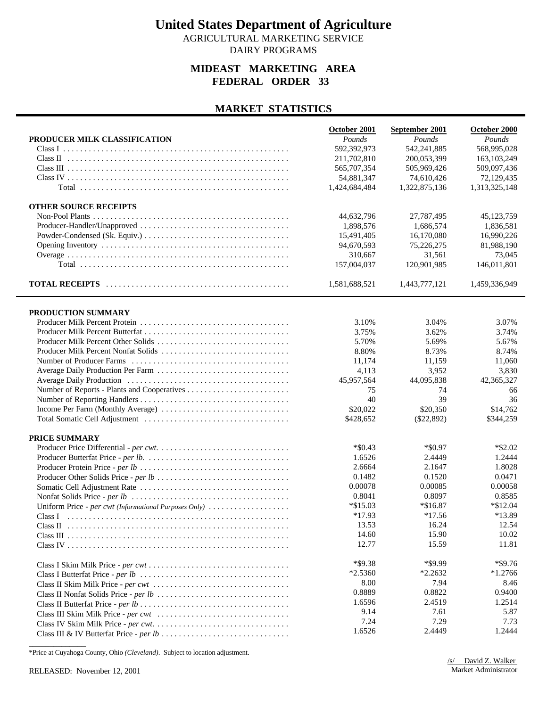AGRICULTURAL MARKETING SERVICE DAIRY PROGRAMS

#### **MIDEAST MARKETING AREA FEDERAL ORDER 33**

#### **MARKET STATISTICS**

|                                                       | October 2001  | September 2001 | October 2000  |
|-------------------------------------------------------|---------------|----------------|---------------|
| PRODUCER MILK CLASSIFICATION                          | Pounds        | Pounds         | Pounds        |
|                                                       | 592,392,973   | 542,241,885    | 568,995,028   |
|                                                       | 211,702,810   | 200,053,399    | 163, 103, 249 |
|                                                       | 565,707,354   | 505,969,426    | 509,097,436   |
|                                                       | 54,881,347    | 74,610,426     | 72,129,435    |
|                                                       | 1,424,684,484 | 1,322,875,136  | 1,313,325,148 |
| <b>OTHER SOURCE RECEIPTS</b>                          |               |                |               |
|                                                       | 44,632,796    | 27,787,495     | 45,123,759    |
|                                                       | 1,898,576     | 1,686,574      | 1,836,581     |
|                                                       | 15,491,405    | 16,170,080     | 16,990,226    |
|                                                       | 94,670,593    | 75,226,275     | 81,988,190    |
|                                                       | 310,667       | 31,561         | 73,045        |
|                                                       | 157,004,037   | 120,901,985    | 146,011,801   |
|                                                       | 1,581,688,521 | 1,443,777,121  | 1,459,336,949 |
| PRODUCTION SUMMARY                                    |               |                |               |
|                                                       | 3.10%         | 3.04%          | 3.07%         |
|                                                       | 3.75%         | 3.62%          | 3.74%         |
|                                                       | 5.70%         | 5.69%          | 5.67%         |
| Producer Milk Percent Nonfat Solids                   | 8.80%         | 8.73%          | 8.74%         |
|                                                       | 11,174        | 11,159         | 11,060        |
|                                                       | 4,113         | 3,952          | 3,830         |
|                                                       | 45,957,564    | 44,095,838     | 42,365,327    |
|                                                       | 75            | 74             | 66            |
|                                                       | 40            | 39             | 36            |
| Income Per Farm (Monthly Average)                     | \$20,022      | \$20,350       | \$14,762      |
|                                                       | \$428,652     | $(\$22,892)$   | \$344,259     |
| PRICE SUMMARY                                         |               |                |               |
|                                                       | $*$ \$0.43    | $*$ \$0.97     | $*$ \$2.02    |
|                                                       | 1.6526        | 2.4449         | 1.2444        |
|                                                       | 2.6664        | 2.1647         | 1.8028        |
|                                                       | 0.1482        | 0.1520         | 0.0471        |
|                                                       | 0.00078       | 0.00085        | 0.00058       |
|                                                       | 0.8041        | 0.8097         | 0.8585        |
| Uniform Price - per cwt (Informational Purposes Only) | $*\$15.03$    | $*\$16.87$     | $*\$12.04$    |
|                                                       | $*17.93$      | $*17.56$       | *13.89        |
|                                                       | 13.53         | 16.24          | 12.54         |
|                                                       | 14.60         | 15.90          | 10.02         |
|                                                       | 12.77         | 15.59          | 11.81         |
|                                                       | $*$ \$9.38    | *\$9.99        | $*$ \$9.76    |
|                                                       | $*2.5360$     | $*2.2632$      | $*1.2766$     |
|                                                       | 8.00          | 7.94           | 8.46          |
|                                                       | 0.8889        | 0.8822         | 0.9400        |
|                                                       | 1.6596        | 2.4519         | 1.2514        |
|                                                       | 9.14          | 7.61           | 5.87          |
|                                                       | 7.24          | 7.29           | 7.73          |
|                                                       | 1.6526        | 2.4449         | 1.2444        |

\*Price at Cuyahoga County, Ohio *(Cleveland)*. Subject to location adjustment.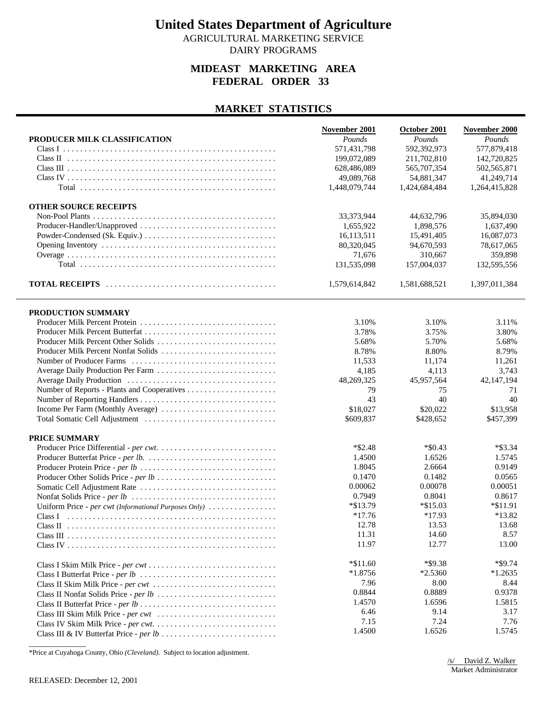AGRICULTURAL MARKETING SERVICE DAIRY PROGRAMS

### **MIDEAST MARKETING AREA FEDERAL ORDER 33**

#### **MARKET STATISTICS**

|                                                       | November 2001 | October 2001  | November 2000 |
|-------------------------------------------------------|---------------|---------------|---------------|
| PRODUCER MILK CLASSIFICATION                          | Pounds        | Pounds        | Pounds        |
|                                                       | 571,431,798   | 592,392,973   | 577,879,418   |
|                                                       | 199,072,089   | 211,702,810   | 142,720,825   |
|                                                       | 628,486,089   | 565,707,354   | 502,565,871   |
|                                                       | 49.089.768    | 54,881,347    | 41,249,714    |
|                                                       | 1,448,079,744 | 1,424,684,484 | 1,264,415,828 |
|                                                       |               |               |               |
| <b>OTHER SOURCE RECEIPTS</b>                          |               |               |               |
|                                                       | 33, 373, 944  | 44,632,796    | 35,894,030    |
| Producer-Handler/Unapproved                           | 1,655,922     | 1,898,576     | 1,637,490     |
|                                                       | 16,113,511    | 15,491,405    | 16,087,073    |
|                                                       | 80,320,045    | 94,670,593    | 78,617,065    |
|                                                       | 71,676        | 310,667       | 359,898       |
|                                                       |               |               |               |
|                                                       | 131,535,098   | 157,004,037   | 132,595,556   |
|                                                       | 1,579,614,842 | 1,581,688,521 | 1,397,011,384 |
| PRODUCTION SUMMARY                                    |               |               |               |
|                                                       | 3.10%         | 3.10%         | 3.11%         |
| Producer Milk Percent Butterfat                       | 3.78%         | 3.75%         | 3.80%         |
| Producer Milk Percent Other Solids                    | 5.68%         | 5.70%         | 5.68%         |
| Producer Milk Percent Nonfat Solids                   | 8.78%         | 8.80%         | 8.79%         |
|                                                       |               |               |               |
|                                                       | 11,533        | 11,174        | 11,261        |
| Average Daily Production Per Farm                     | 4,185         | 4,113         | 3,743         |
|                                                       | 48,269,325    | 45,957,564    | 42,147,194    |
|                                                       | 79            | 75            | 71            |
|                                                       | 43            | 40            | 40            |
| Income Per Farm (Monthly Average)                     | \$18,027      | \$20,022      | \$13,958      |
|                                                       | \$609,837     | \$428,652     | \$457,399     |
| PRICE SUMMARY                                         |               |               |               |
|                                                       | $*$ \$2.48    | $*$ \$0.43    | $*$ \$3.34    |
|                                                       | 1.4500        | 1.6526        | 1.5745        |
|                                                       | 1.8045        | 2.6664        | 0.9149        |
|                                                       | 0.1470        | 0.1482        | 0.0565        |
|                                                       | 0.00062       | 0.00078       | 0.00051       |
|                                                       | 0.7949        | 0.8041        | 0.8617        |
|                                                       |               | $*\$15.03$    |               |
| Uniform Price - per cwt (Informational Purposes Only) | $*\$13.79$    |               | $*\$11.91$    |
|                                                       | $*17.76$      | $*17.93$      | $*13.82$      |
|                                                       | 12.78         | 13.53         | 13.68         |
|                                                       | 11.31         | 14.60         | 8.57          |
|                                                       | 11.97         | 12.77         | 13.00         |
|                                                       | $*\$11.60$    | *\$9.38       | $*$ \$9.74    |
|                                                       | $*1.8756$     | $*2.5360$     | $*1.2635$     |
|                                                       | 7.96          | 8.00          | 8.44          |
|                                                       | 0.8844        | 0.8889        | 0.9378        |
|                                                       | 1.4570        | 1.6596        | 1.5815        |
|                                                       | 6.46          | 9.14          | 3.17          |
|                                                       | 7.15          | 7.24          | 7.76          |
|                                                       | 1.4500        | 1.6526        | 1.5745        |
|                                                       |               |               |               |

\*Price at Cuyahoga County, Ohio *(Cleveland)*. Subject to location adjustment.